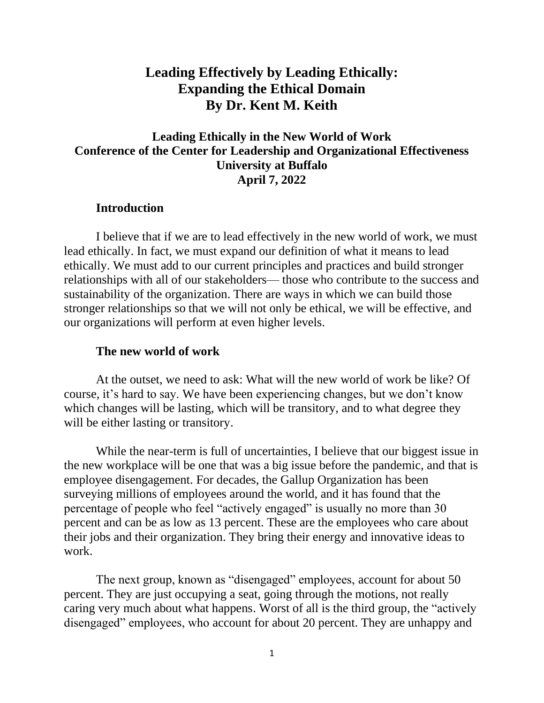# **Leading Effectively by Leading Ethically: Expanding the Ethical Domain By Dr. Kent M. Keith**

## **Leading Ethically in the New World of Work Conference of the Center for Leadership and Organizational Effectiveness University at Buffalo April 7, 2022**

#### **Introduction**

I believe that if we are to lead effectively in the new world of work, we must lead ethically. In fact, we must expand our definition of what it means to lead ethically. We must add to our current principles and practices and build stronger relationships with all of our stakeholders— those who contribute to the success and sustainability of the organization. There are ways in which we can build those stronger relationships so that we will not only be ethical, we will be effective, and our organizations will perform at even higher levels.

#### **The new world of work**

At the outset, we need to ask: What will the new world of work be like? Of course, it's hard to say. We have been experiencing changes, but we don't know which changes will be lasting, which will be transitory, and to what degree they will be either lasting or transitory.

While the near-term is full of uncertainties, I believe that our biggest issue in the new workplace will be one that was a big issue before the pandemic, and that is employee disengagement. For decades, the Gallup Organization has been surveying millions of employees around the world, and it has found that the percentage of people who feel "actively engaged" is usually no more than 30 percent and can be as low as 13 percent. These are the employees who care about their jobs and their organization. They bring their energy and innovative ideas to work.

The next group, known as "disengaged" employees, account for about 50 percent. They are just occupying a seat, going through the motions, not really caring very much about what happens. Worst of all is the third group, the "actively disengaged" employees, who account for about 20 percent. They are unhappy and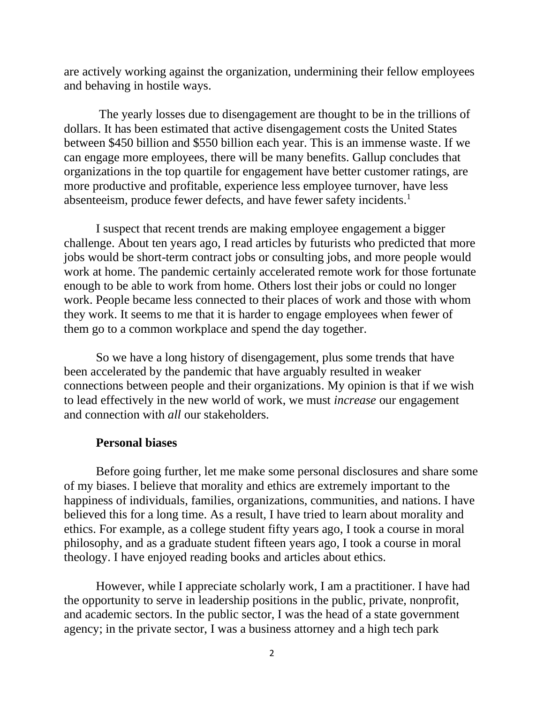are actively working against the organization, undermining their fellow employees and behaving in hostile ways.

The yearly losses due to disengagement are thought to be in the trillions of dollars. It has been estimated that active disengagement costs the United States between \$450 billion and \$550 billion each year. This is an immense waste. If we can engage more employees, there will be many benefits. Gallup concludes that organizations in the top quartile for engagement have better customer ratings, are more productive and profitable, experience less employee turnover, have less absenteeism, produce fewer defects, and have fewer safety incidents.<sup>1</sup>

I suspect that recent trends are making employee engagement a bigger challenge. About ten years ago, I read articles by futurists who predicted that more jobs would be short-term contract jobs or consulting jobs, and more people would work at home. The pandemic certainly accelerated remote work for those fortunate enough to be able to work from home. Others lost their jobs or could no longer work. People became less connected to their places of work and those with whom they work. It seems to me that it is harder to engage employees when fewer of them go to a common workplace and spend the day together.

So we have a long history of disengagement, plus some trends that have been accelerated by the pandemic that have arguably resulted in weaker connections between people and their organizations. My opinion is that if we wish to lead effectively in the new world of work, we must *increase* our engagement and connection with *all* our stakeholders.

#### **Personal biases**

Before going further, let me make some personal disclosures and share some of my biases. I believe that morality and ethics are extremely important to the happiness of individuals, families, organizations, communities, and nations. I have believed this for a long time. As a result, I have tried to learn about morality and ethics. For example, as a college student fifty years ago, I took a course in moral philosophy, and as a graduate student fifteen years ago, I took a course in moral theology. I have enjoyed reading books and articles about ethics.

However, while I appreciate scholarly work, I am a practitioner. I have had the opportunity to serve in leadership positions in the public, private, nonprofit, and academic sectors. In the public sector, I was the head of a state government agency; in the private sector, I was a business attorney and a high tech park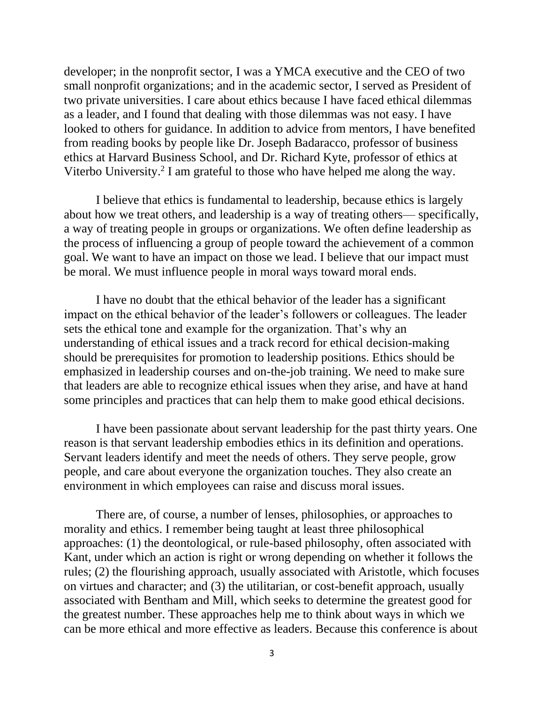developer; in the nonprofit sector, I was a YMCA executive and the CEO of two small nonprofit organizations; and in the academic sector, I served as President of two private universities. I care about ethics because I have faced ethical dilemmas as a leader, and I found that dealing with those dilemmas was not easy. I have looked to others for guidance. In addition to advice from mentors, I have benefited from reading books by people like Dr. Joseph Badaracco, professor of business ethics at Harvard Business School, and Dr. Richard Kyte, professor of ethics at Viterbo University.<sup>2</sup> I am grateful to those who have helped me along the way.

I believe that ethics is fundamental to leadership, because ethics is largely about how we treat others, and leadership is a way of treating others— specifically, a way of treating people in groups or organizations. We often define leadership as the process of influencing a group of people toward the achievement of a common goal. We want to have an impact on those we lead. I believe that our impact must be moral. We must influence people in moral ways toward moral ends.

I have no doubt that the ethical behavior of the leader has a significant impact on the ethical behavior of the leader's followers or colleagues. The leader sets the ethical tone and example for the organization. That's why an understanding of ethical issues and a track record for ethical decision-making should be prerequisites for promotion to leadership positions. Ethics should be emphasized in leadership courses and on-the-job training. We need to make sure that leaders are able to recognize ethical issues when they arise, and have at hand some principles and practices that can help them to make good ethical decisions.

I have been passionate about servant leadership for the past thirty years. One reason is that servant leadership embodies ethics in its definition and operations. Servant leaders identify and meet the needs of others. They serve people, grow people, and care about everyone the organization touches. They also create an environment in which employees can raise and discuss moral issues.

There are, of course, a number of lenses, philosophies, or approaches to morality and ethics. I remember being taught at least three philosophical approaches: (1) the deontological, or rule-based philosophy, often associated with Kant, under which an action is right or wrong depending on whether it follows the rules; (2) the flourishing approach, usually associated with Aristotle, which focuses on virtues and character; and (3) the utilitarian, or cost-benefit approach, usually associated with Bentham and Mill, which seeks to determine the greatest good for the greatest number. These approaches help me to think about ways in which we can be more ethical and more effective as leaders. Because this conference is about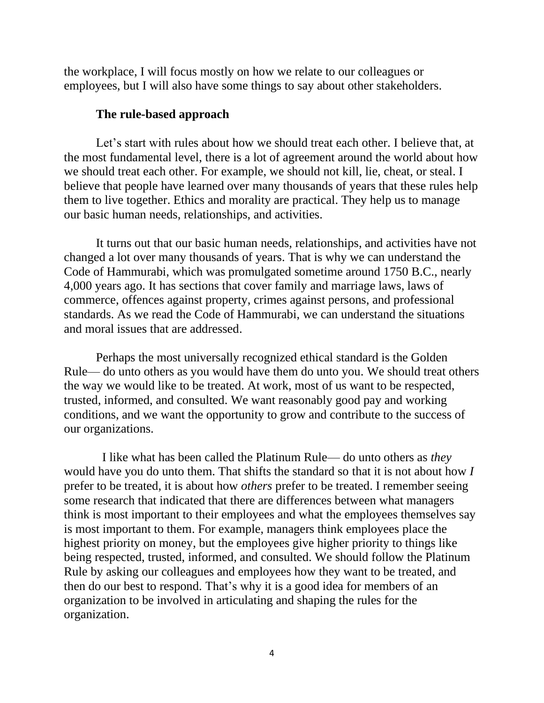the workplace, I will focus mostly on how we relate to our colleagues or employees, but I will also have some things to say about other stakeholders.

#### **The rule-based approach**

Let's start with rules about how we should treat each other. I believe that, at the most fundamental level, there is a lot of agreement around the world about how we should treat each other. For example, we should not kill, lie, cheat, or steal. I believe that people have learned over many thousands of years that these rules help them to live together. Ethics and morality are practical. They help us to manage our basic human needs, relationships, and activities.

It turns out that our basic human needs, relationships, and activities have not changed a lot over many thousands of years. That is why we can understand the Code of Hammurabi, which was promulgated sometime around 1750 B.C., nearly 4,000 years ago. It has sections that cover family and marriage laws, laws of commerce, offences against property, crimes against persons, and professional standards. As we read the Code of Hammurabi, we can understand the situations and moral issues that are addressed.

Perhaps the most universally recognized ethical standard is the Golden Rule— do unto others as you would have them do unto you. We should treat others the way we would like to be treated. At work, most of us want to be respected, trusted, informed, and consulted. We want reasonably good pay and working conditions, and we want the opportunity to grow and contribute to the success of our organizations.

I like what has been called the Platinum Rule— do unto others as *they* would have you do unto them. That shifts the standard so that it is not about how *I* prefer to be treated, it is about how *others* prefer to be treated. I remember seeing some research that indicated that there are differences between what managers think is most important to their employees and what the employees themselves say is most important to them. For example, managers think employees place the highest priority on money, but the employees give higher priority to things like being respected, trusted, informed, and consulted. We should follow the Platinum Rule by asking our colleagues and employees how they want to be treated, and then do our best to respond. That's why it is a good idea for members of an organization to be involved in articulating and shaping the rules for the organization.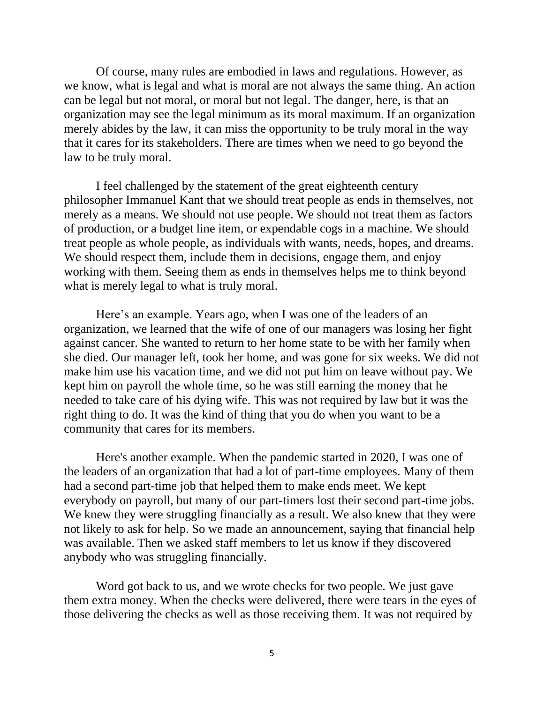Of course, many rules are embodied in laws and regulations. However, as we know, what is legal and what is moral are not always the same thing. An action can be legal but not moral, or moral but not legal. The danger, here, is that an organization may see the legal minimum as its moral maximum. If an organization merely abides by the law, it can miss the opportunity to be truly moral in the way that it cares for its stakeholders. There are times when we need to go beyond the law to be truly moral.

I feel challenged by the statement of the great eighteenth century philosopher Immanuel Kant that we should treat people as ends in themselves, not merely as a means. We should not use people. We should not treat them as factors of production, or a budget line item, or expendable cogs in a machine. We should treat people as whole people, as individuals with wants, needs, hopes, and dreams. We should respect them, include them in decisions, engage them, and enjoy working with them. Seeing them as ends in themselves helps me to think beyond what is merely legal to what is truly moral.

Here's an example. Years ago, when I was one of the leaders of an organization, we learned that the wife of one of our managers was losing her fight against cancer. She wanted to return to her home state to be with her family when she died. Our manager left, took her home, and was gone for six weeks. We did not make him use his vacation time, and we did not put him on leave without pay. We kept him on payroll the whole time, so he was still earning the money that he needed to take care of his dying wife. This was not required by law but it was the right thing to do. It was the kind of thing that you do when you want to be a community that cares for its members.

Here's another example. When the pandemic started in 2020, I was one of the leaders of an organization that had a lot of part-time employees. Many of them had a second part-time job that helped them to make ends meet. We kept everybody on payroll, but many of our part-timers lost their second part-time jobs. We knew they were struggling financially as a result. We also knew that they were not likely to ask for help. So we made an announcement, saying that financial help was available. Then we asked staff members to let us know if they discovered anybody who was struggling financially.

Word got back to us, and we wrote checks for two people. We just gave them extra money. When the checks were delivered, there were tears in the eyes of those delivering the checks as well as those receiving them. It was not required by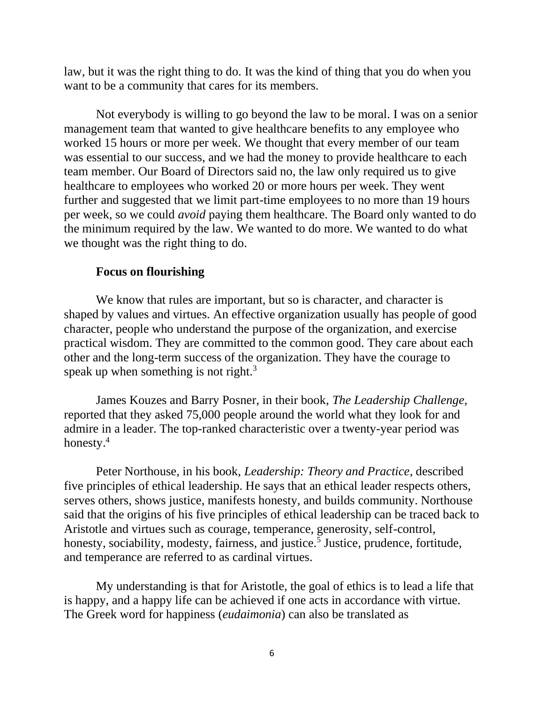law, but it was the right thing to do. It was the kind of thing that you do when you want to be a community that cares for its members.

Not everybody is willing to go beyond the law to be moral. I was on a senior management team that wanted to give healthcare benefits to any employee who worked 15 hours or more per week. We thought that every member of our team was essential to our success, and we had the money to provide healthcare to each team member. Our Board of Directors said no, the law only required us to give healthcare to employees who worked 20 or more hours per week. They went further and suggested that we limit part-time employees to no more than 19 hours per week, so we could *avoid* paying them healthcare. The Board only wanted to do the minimum required by the law. We wanted to do more. We wanted to do what we thought was the right thing to do.

#### **Focus on flourishing**

We know that rules are important, but so is character, and character is shaped by values and virtues. An effective organization usually has people of good character, people who understand the purpose of the organization, and exercise practical wisdom. They are committed to the common good. They care about each other and the long-term success of the organization. They have the courage to speak up when something is not right. $3$ 

James Kouzes and Barry Posner, in their book, *The Leadership Challenge,* reported that they asked 75,000 people around the world what they look for and admire in a leader. The top-ranked characteristic over a twenty-year period was honesty.<sup>4</sup>

Peter Northouse, in his book, *Leadership: Theory and Practice*, described five principles of ethical leadership. He says that an ethical leader respects others, serves others, shows justice, manifests honesty, and builds community. Northouse said that the origins of his five principles of ethical leadership can be traced back to Aristotle and virtues such as courage, temperance, generosity, self-control, honesty, sociability, modesty, fairness, and justice.<sup>5</sup> Justice, prudence, fortitude, and temperance are referred to as cardinal virtues.

My understanding is that for Aristotle, the goal of ethics is to lead a life that is happy, and a happy life can be achieved if one acts in accordance with virtue. The Greek word for happiness (*eudaimonia*) can also be translated as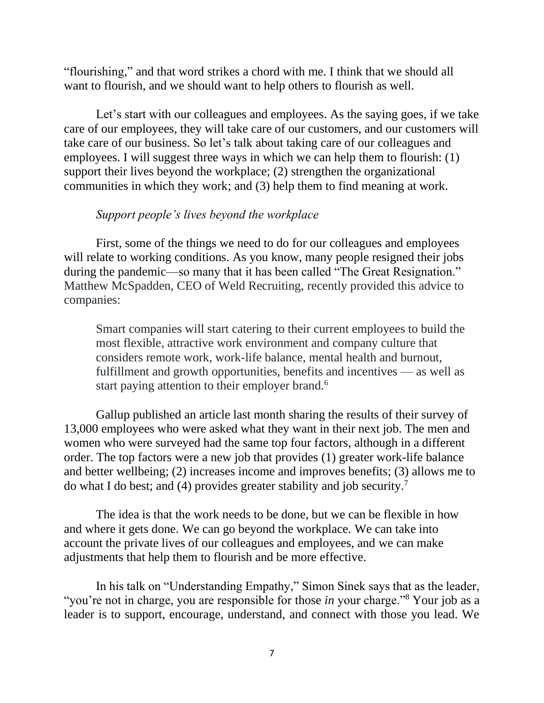"flourishing," and that word strikes a chord with me. I think that we should all want to flourish, and we should want to help others to flourish as well.

Let's start with our colleagues and employees. As the saying goes, if we take care of our employees, they will take care of our customers, and our customers will take care of our business. So let's talk about taking care of our colleagues and employees. I will suggest three ways in which we can help them to flourish: (1) support their lives beyond the workplace; (2) strengthen the organizational communities in which they work; and (3) help them to find meaning at work.

### *Support people's lives beyond the workplace*

First, some of the things we need to do for our colleagues and employees will relate to working conditions. As you know, many people resigned their jobs during the pandemic—so many that it has been called "The Great Resignation." Matthew McSpadden, CEO of Weld Recruiting, recently provided this advice to companies:

Smart companies will start catering to their current employees to build the most flexible, attractive work environment and company culture that considers remote work, work-life balance, mental health and burnout, fulfillment and growth opportunities, benefits and incentives — as well as start paying attention to their employer brand.<sup>6</sup>

Gallup published an article last month sharing the results of their survey of 13,000 employees who were asked what they want in their next job. The men and women who were surveyed had the same top four factors, although in a different order. The top factors were a new job that provides (1) greater work-life balance and better wellbeing; (2) increases income and improves benefits; (3) allows me to do what I do best; and (4) provides greater stability and job security.<sup>7</sup>

The idea is that the work needs to be done, but we can be flexible in how and where it gets done. We can go beyond the workplace. We can take into account the private lives of our colleagues and employees, and we can make adjustments that help them to flourish and be more effective.

In his talk on "Understanding Empathy," Simon Sinek says that as the leader, "you're not in charge, you are responsible for those *in* your charge."<sup>8</sup> Your job as a leader is to support, encourage, understand, and connect with those you lead. We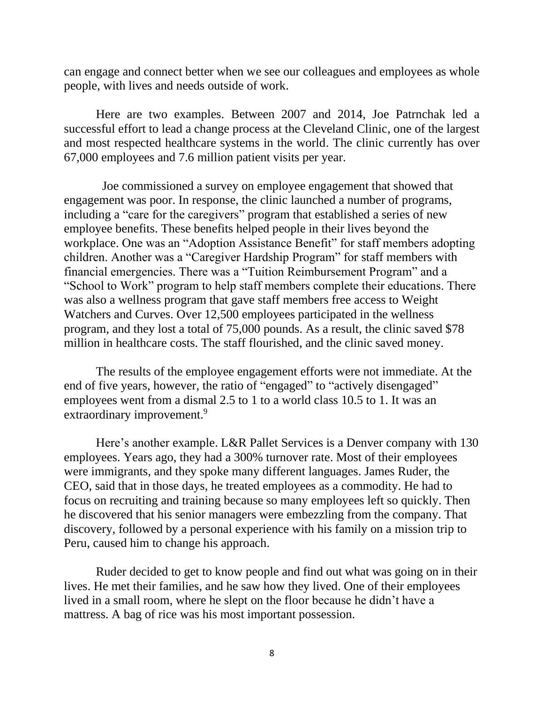can engage and connect better when we see our colleagues and employees as whole people, with lives and needs outside of work.

Here are two examples. Between 2007 and 2014, Joe Patrnchak led a successful effort to lead a change process at the Cleveland Clinic, one of the largest and most respected healthcare systems in the world. The clinic currently has over 67,000 employees and 7.6 million patient visits per year.

Joe commissioned a survey on employee engagement that showed that engagement was poor. In response, the clinic launched a number of programs, including a "care for the caregivers" program that established a series of new employee benefits. These benefits helped people in their lives beyond the workplace. One was an "Adoption Assistance Benefit" for staff members adopting children. Another was a "Caregiver Hardship Program" for staff members with financial emergencies. There was a "Tuition Reimbursement Program" and a "School to Work" program to help staff members complete their educations. There was also a wellness program that gave staff members free access to Weight Watchers and Curves. Over 12,500 employees participated in the wellness program, and they lost a total of 75,000 pounds. As a result, the clinic saved \$78 million in healthcare costs. The staff flourished, and the clinic saved money.

The results of the employee engagement efforts were not immediate. At the end of five years, however, the ratio of "engaged" to "actively disengaged" employees went from a dismal 2.5 to 1 to a world class 10.5 to 1. It was an extraordinary improvement.<sup>9</sup>

Here's another example. L&R Pallet Services is a Denver company with 130 employees. Years ago, they had a 300% turnover rate. Most of their employees were immigrants, and they spoke many different languages. James Ruder, the CEO, said that in those days, he treated employees as a commodity. He had to focus on recruiting and training because so many employees left so quickly. Then he discovered that his senior managers were embezzling from the company. That discovery, followed by a personal experience with his family on a mission trip to Peru, caused him to change his approach.

Ruder decided to get to know people and find out what was going on in their lives. He met their families, and he saw how they lived. One of their employees lived in a small room, where he slept on the floor because he didn't have a mattress. A bag of rice was his most important possession.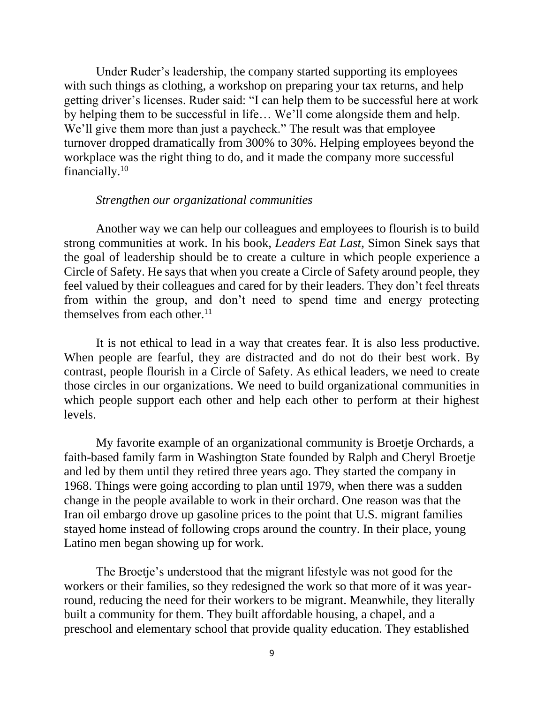Under Ruder's leadership, the company started supporting its employees with such things as clothing, a workshop on preparing your tax returns, and help getting driver's licenses. Ruder said: "I can help them to be successful here at work by helping them to be successful in life… We'll come alongside them and help. We'll give them more than just a paycheck." The result was that employee turnover dropped dramatically from 300% to 30%. Helping employees beyond the workplace was the right thing to do, and it made the company more successful financially.<sup>10</sup>

#### *Strengthen our organizational communities*

Another way we can help our colleagues and employees to flourish is to build strong communities at work. In his book, *Leaders Eat Last*, Simon Sinek says that the goal of leadership should be to create a culture in which people experience a Circle of Safety. He says that when you create a Circle of Safety around people, they feel valued by their colleagues and cared for by their leaders. They don't feel threats from within the group, and don't need to spend time and energy protecting themselves from each other. $^{11}$ 

It is not ethical to lead in a way that creates fear. It is also less productive. When people are fearful, they are distracted and do not do their best work. By contrast, people flourish in a Circle of Safety. As ethical leaders, we need to create those circles in our organizations. We need to build organizational communities in which people support each other and help each other to perform at their highest levels.

My favorite example of an organizational community is Broetje Orchards, a faith-based family farm in Washington State founded by Ralph and Cheryl Broetje and led by them until they retired three years ago. They started the company in 1968. Things were going according to plan until 1979, when there was a sudden change in the people available to work in their orchard. One reason was that the Iran oil embargo drove up gasoline prices to the point that U.S. migrant families stayed home instead of following crops around the country. In their place, young Latino men began showing up for work.

The Broetje's understood that the migrant lifestyle was not good for the workers or their families, so they redesigned the work so that more of it was yearround, reducing the need for their workers to be migrant. Meanwhile, they literally built a community for them. They built affordable housing, a chapel, and a preschool and elementary school that provide quality education. They established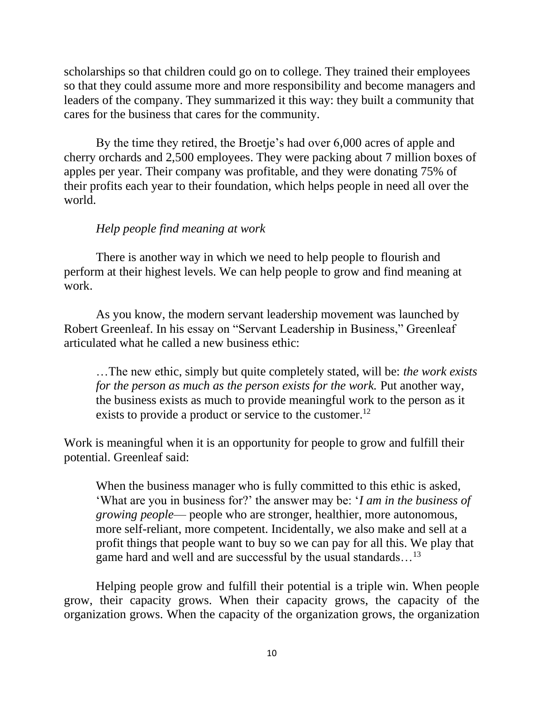scholarships so that children could go on to college. They trained their employees so that they could assume more and more responsibility and become managers and leaders of the company. They summarized it this way: they built a community that cares for the business that cares for the community.

By the time they retired, the Broetje's had over 6,000 acres of apple and cherry orchards and 2,500 employees. They were packing about 7 million boxes of apples per year. Their company was profitable, and they were donating 75% of their profits each year to their foundation, which helps people in need all over the world.

### *Help people find meaning at work*

There is another way in which we need to help people to flourish and perform at their highest levels. We can help people to grow and find meaning at work.

As you know, the modern servant leadership movement was launched by Robert Greenleaf. In his essay on "Servant Leadership in Business," Greenleaf articulated what he called a new business ethic:

…The new ethic, simply but quite completely stated, will be: *the work exists for the person as much as the person exists for the work.* Put another way, the business exists as much to provide meaningful work to the person as it exists to provide a product or service to the customer.<sup>12</sup>

Work is meaningful when it is an opportunity for people to grow and fulfill their potential. Greenleaf said:

When the business manager who is fully committed to this ethic is asked, 'What are you in business for?' the answer may be: '*I am in the business of growing people*— people who are stronger, healthier, more autonomous, more self-reliant, more competent. Incidentally, we also make and sell at a profit things that people want to buy so we can pay for all this. We play that game hard and well and are successful by the usual standards...<sup>13</sup>

Helping people grow and fulfill their potential is a triple win. When people grow, their capacity grows. When their capacity grows, the capacity of the organization grows. When the capacity of the organization grows, the organization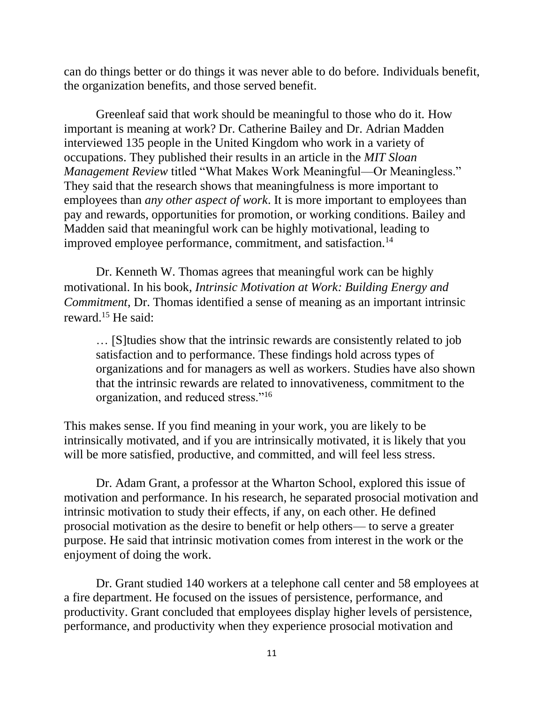can do things better or do things it was never able to do before. Individuals benefit, the organization benefits, and those served benefit.

Greenleaf said that work should be meaningful to those who do it. How important is meaning at work? Dr. Catherine Bailey and Dr. Adrian Madden interviewed 135 people in the United Kingdom who work in a variety of occupations. They published their results in an article in the *MIT Sloan Management Review* titled "What Makes Work Meaningful—Or Meaningless." They said that the research shows that meaningfulness is more important to employees than *any other aspect of work*. It is more important to employees than pay and rewards, opportunities for promotion, or working conditions. Bailey and Madden said that meaningful work can be highly motivational, leading to improved employee performance, commitment, and satisfaction.<sup>14</sup>

Dr. Kenneth W. Thomas agrees that meaningful work can be highly motivational. In his book, *Intrinsic Motivation at Work: Building Energy and Commitment*, Dr. Thomas identified a sense of meaning as an important intrinsic reward.<sup>15</sup> He said:

… [S]tudies show that the intrinsic rewards are consistently related to job satisfaction and to performance. These findings hold across types of organizations and for managers as well as workers. Studies have also shown that the intrinsic rewards are related to innovativeness, commitment to the organization, and reduced stress."<sup>16</sup>

This makes sense. If you find meaning in your work, you are likely to be intrinsically motivated, and if you are intrinsically motivated, it is likely that you will be more satisfied, productive, and committed, and will feel less stress.

Dr. Adam Grant, a professor at the Wharton School, explored this issue of motivation and performance. In his research, he separated prosocial motivation and intrinsic motivation to study their effects, if any, on each other. He defined prosocial motivation as the desire to benefit or help others— to serve a greater purpose. He said that intrinsic motivation comes from interest in the work or the enjoyment of doing the work.

Dr. Grant studied 140 workers at a telephone call center and 58 employees at a fire department. He focused on the issues of persistence, performance, and productivity. Grant concluded that employees display higher levels of persistence, performance, and productivity when they experience prosocial motivation and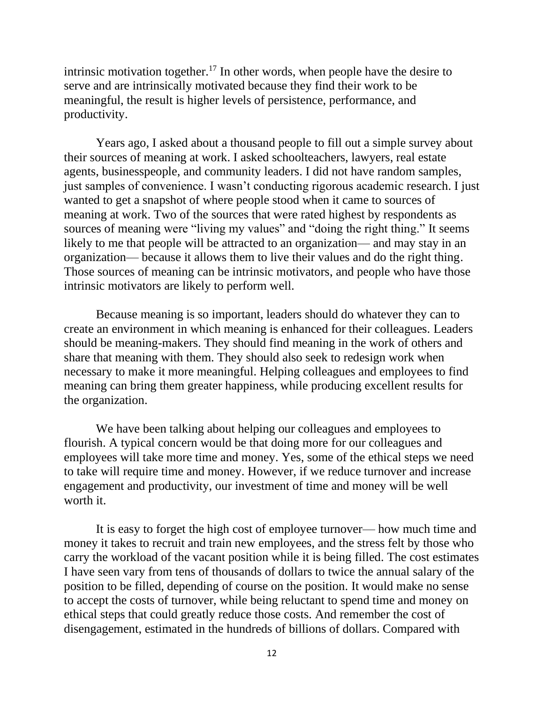intrinsic motivation together.<sup>17</sup> In other words, when people have the desire to serve and are intrinsically motivated because they find their work to be meaningful, the result is higher levels of persistence, performance, and productivity.

Years ago, I asked about a thousand people to fill out a simple survey about their sources of meaning at work. I asked schoolteachers, lawyers, real estate agents, businesspeople, and community leaders. I did not have random samples, just samples of convenience. I wasn't conducting rigorous academic research. I just wanted to get a snapshot of where people stood when it came to sources of meaning at work. Two of the sources that were rated highest by respondents as sources of meaning were "living my values" and "doing the right thing." It seems likely to me that people will be attracted to an organization— and may stay in an organization— because it allows them to live their values and do the right thing. Those sources of meaning can be intrinsic motivators, and people who have those intrinsic motivators are likely to perform well.

Because meaning is so important, leaders should do whatever they can to create an environment in which meaning is enhanced for their colleagues. Leaders should be meaning-makers. They should find meaning in the work of others and share that meaning with them. They should also seek to redesign work when necessary to make it more meaningful. Helping colleagues and employees to find meaning can bring them greater happiness, while producing excellent results for the organization.

We have been talking about helping our colleagues and employees to flourish. A typical concern would be that doing more for our colleagues and employees will take more time and money. Yes, some of the ethical steps we need to take will require time and money. However, if we reduce turnover and increase engagement and productivity, our investment of time and money will be well worth it.

It is easy to forget the high cost of employee turnover— how much time and money it takes to recruit and train new employees, and the stress felt by those who carry the workload of the vacant position while it is being filled. The cost estimates I have seen vary from tens of thousands of dollars to twice the annual salary of the position to be filled, depending of course on the position. It would make no sense to accept the costs of turnover, while being reluctant to spend time and money on ethical steps that could greatly reduce those costs. And remember the cost of disengagement, estimated in the hundreds of billions of dollars. Compared with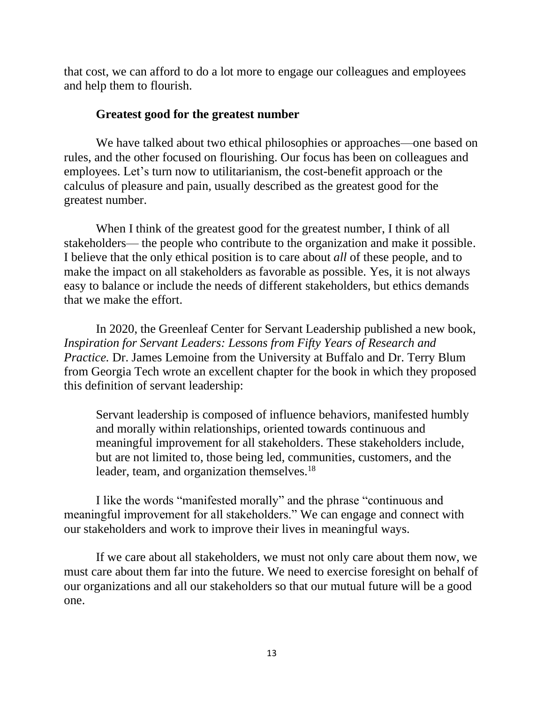that cost, we can afford to do a lot more to engage our colleagues and employees and help them to flourish.

### **Greatest good for the greatest number**

We have talked about two ethical philosophies or approaches—one based on rules, and the other focused on flourishing. Our focus has been on colleagues and employees. Let's turn now to utilitarianism, the cost-benefit approach or the calculus of pleasure and pain, usually described as the greatest good for the greatest number.

When I think of the greatest good for the greatest number, I think of all stakeholders— the people who contribute to the organization and make it possible. I believe that the only ethical position is to care about *all* of these people, and to make the impact on all stakeholders as favorable as possible. Yes, it is not always easy to balance or include the needs of different stakeholders, but ethics demands that we make the effort.

In 2020, the Greenleaf Center for Servant Leadership published a new book, *Inspiration for Servant Leaders: Lessons from Fifty Years of Research and Practice.* Dr. James Lemoine from the University at Buffalo and Dr. Terry Blum from Georgia Tech wrote an excellent chapter for the book in which they proposed this definition of servant leadership:

Servant leadership is composed of influence behaviors, manifested humbly and morally within relationships, oriented towards continuous and meaningful improvement for all stakeholders. These stakeholders include, but are not limited to, those being led, communities, customers, and the leader, team, and organization themselves.<sup>18</sup>

I like the words "manifested morally" and the phrase "continuous and meaningful improvement for all stakeholders." We can engage and connect with our stakeholders and work to improve their lives in meaningful ways.

If we care about all stakeholders, we must not only care about them now, we must care about them far into the future. We need to exercise foresight on behalf of our organizations and all our stakeholders so that our mutual future will be a good one.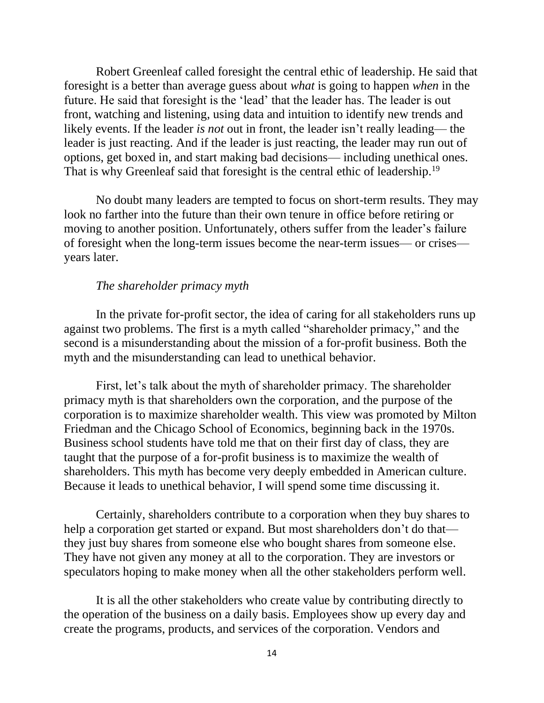Robert Greenleaf called foresight the central ethic of leadership. He said that foresight is a better than average guess about *what* is going to happen *when* in the future. He said that foresight is the 'lead' that the leader has. The leader is out front, watching and listening, using data and intuition to identify new trends and likely events. If the leader *is not* out in front, the leader isn't really leading— the leader is just reacting. And if the leader is just reacting, the leader may run out of options, get boxed in, and start making bad decisions— including unethical ones. That is why Greenleaf said that foresight is the central ethic of leadership.<sup>19</sup>

No doubt many leaders are tempted to focus on short-term results. They may look no farther into the future than their own tenure in office before retiring or moving to another position. Unfortunately, others suffer from the leader's failure of foresight when the long-term issues become the near-term issues— or crises years later.

#### *The shareholder primacy myth*

In the private for-profit sector, the idea of caring for all stakeholders runs up against two problems. The first is a myth called "shareholder primacy," and the second is a misunderstanding about the mission of a for-profit business. Both the myth and the misunderstanding can lead to unethical behavior.

First, let's talk about the myth of shareholder primacy. The shareholder primacy myth is that shareholders own the corporation, and the purpose of the corporation is to maximize shareholder wealth. This view was promoted by Milton Friedman and the Chicago School of Economics, beginning back in the 1970s. Business school students have told me that on their first day of class, they are taught that the purpose of a for-profit business is to maximize the wealth of shareholders. This myth has become very deeply embedded in American culture. Because it leads to unethical behavior, I will spend some time discussing it.

Certainly, shareholders contribute to a corporation when they buy shares to help a corporation get started or expand. But most shareholders don't do that they just buy shares from someone else who bought shares from someone else. They have not given any money at all to the corporation. They are investors or speculators hoping to make money when all the other stakeholders perform well.

It is all the other stakeholders who create value by contributing directly to the operation of the business on a daily basis. Employees show up every day and create the programs, products, and services of the corporation. Vendors and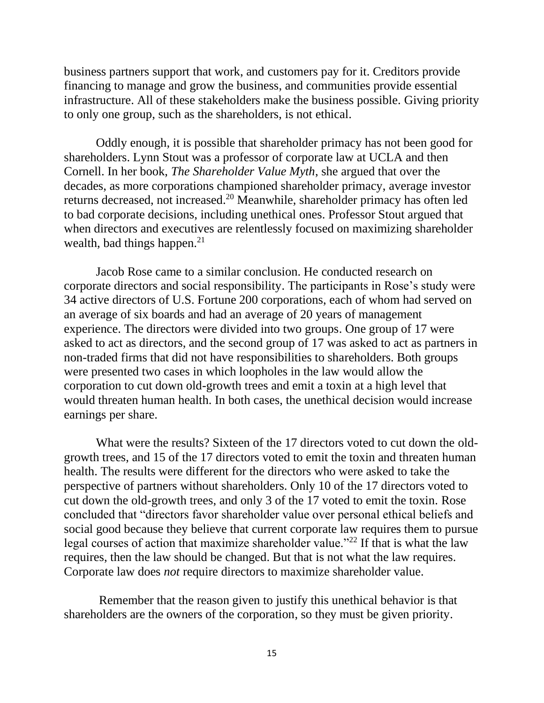business partners support that work, and customers pay for it. Creditors provide financing to manage and grow the business, and communities provide essential infrastructure. All of these stakeholders make the business possible. Giving priority to only one group, such as the shareholders, is not ethical.

Oddly enough, it is possible that shareholder primacy has not been good for shareholders. Lynn Stout was a professor of corporate law at UCLA and then Cornell. In her book, *The Shareholder Value Myth*, she argued that over the decades, as more corporations championed shareholder primacy, average investor returns decreased, not increased.<sup>20</sup> Meanwhile, shareholder primacy has often led to bad corporate decisions, including unethical ones. Professor Stout argued that when directors and executives are relentlessly focused on maximizing shareholder wealth, bad things happen. $21$ 

Jacob Rose came to a similar conclusion. He conducted research on corporate directors and social responsibility. The participants in Rose's study were 34 active directors of U.S. Fortune 200 corporations, each of whom had served on an average of six boards and had an average of 20 years of management experience. The directors were divided into two groups. One group of 17 were asked to act as directors, and the second group of 17 was asked to act as partners in non-traded firms that did not have responsibilities to shareholders. Both groups were presented two cases in which loopholes in the law would allow the corporation to cut down old-growth trees and emit a toxin at a high level that would threaten human health. In both cases, the unethical decision would increase earnings per share.

What were the results? Sixteen of the 17 directors voted to cut down the oldgrowth trees, and 15 of the 17 directors voted to emit the toxin and threaten human health. The results were different for the directors who were asked to take the perspective of partners without shareholders. Only 10 of the 17 directors voted to cut down the old-growth trees, and only 3 of the 17 voted to emit the toxin. Rose concluded that "directors favor shareholder value over personal ethical beliefs and social good because they believe that current corporate law requires them to pursue legal courses of action that maximize shareholder value."<sup>22</sup> If that is what the law requires, then the law should be changed. But that is not what the law requires. Corporate law does *not* require directors to maximize shareholder value.

Remember that the reason given to justify this unethical behavior is that shareholders are the owners of the corporation, so they must be given priority.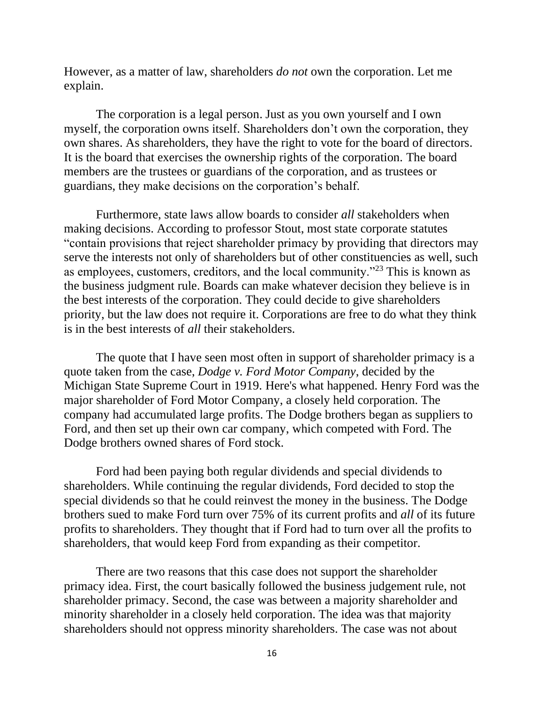However, as a matter of law, shareholders *do not* own the corporation. Let me explain.

The corporation is a legal person. Just as you own yourself and I own myself, the corporation owns itself. Shareholders don't own the corporation, they own shares. As shareholders, they have the right to vote for the board of directors. It is the board that exercises the ownership rights of the corporation. The board members are the trustees or guardians of the corporation, and as trustees or guardians, they make decisions on the corporation's behalf.

Furthermore, state laws allow boards to consider *all* stakeholders when making decisions. According to professor Stout, most state corporate statutes "contain provisions that reject shareholder primacy by providing that directors may serve the interests not only of shareholders but of other constituencies as well, such as employees, customers, creditors, and the local community."<sup>23</sup> This is known as the business judgment rule. Boards can make whatever decision they believe is in the best interests of the corporation. They could decide to give shareholders priority, but the law does not require it. Corporations are free to do what they think is in the best interests of *all* their stakeholders.

The quote that I have seen most often in support of shareholder primacy is a quote taken from the case, *Dodge v. Ford Motor Company*, decided by the Michigan State Supreme Court in 1919. Here's what happened. Henry Ford was the major shareholder of Ford Motor Company, a closely held corporation. The company had accumulated large profits. The Dodge brothers began as suppliers to Ford, and then set up their own car company, which competed with Ford. The Dodge brothers owned shares of Ford stock.

Ford had been paying both regular dividends and special dividends to shareholders. While continuing the regular dividends, Ford decided to stop the special dividends so that he could reinvest the money in the business. The Dodge brothers sued to make Ford turn over 75% of its current profits and *all* of its future profits to shareholders. They thought that if Ford had to turn over all the profits to shareholders, that would keep Ford from expanding as their competitor.

There are two reasons that this case does not support the shareholder primacy idea. First, the court basically followed the business judgement rule, not shareholder primacy. Second, the case was between a majority shareholder and minority shareholder in a closely held corporation. The idea was that majority shareholders should not oppress minority shareholders. The case was not about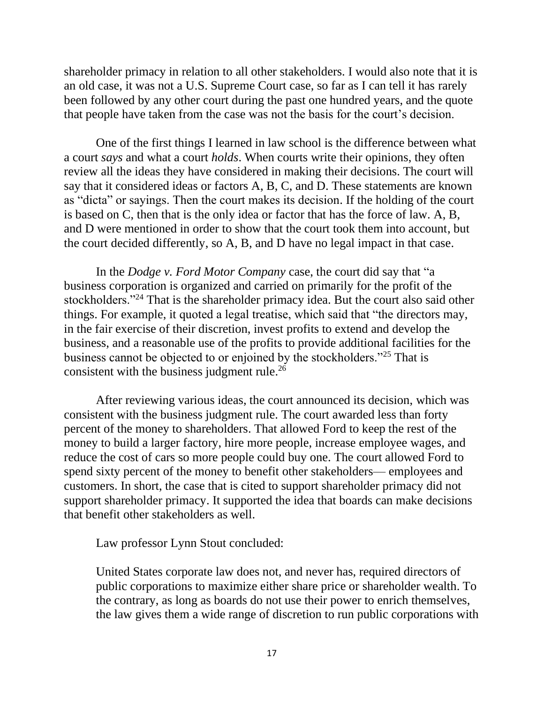shareholder primacy in relation to all other stakeholders. I would also note that it is an old case, it was not a U.S. Supreme Court case, so far as I can tell it has rarely been followed by any other court during the past one hundred years, and the quote that people have taken from the case was not the basis for the court's decision.

One of the first things I learned in law school is the difference between what a court *says* and what a court *holds*. When courts write their opinions, they often review all the ideas they have considered in making their decisions. The court will say that it considered ideas or factors A, B, C, and D. These statements are known as "dicta" or sayings. Then the court makes its decision. If the holding of the court is based on C, then that is the only idea or factor that has the force of law. A, B, and D were mentioned in order to show that the court took them into account, but the court decided differently, so A, B, and D have no legal impact in that case.

In the *Dodge v. Ford Motor Company* case, the court did say that "a business corporation is organized and carried on primarily for the profit of the stockholders."<sup>24</sup> That is the shareholder primacy idea. But the court also said other things. For example, it quoted a legal treatise, which said that "the directors may, in the fair exercise of their discretion, invest profits to extend and develop the business, and a reasonable use of the profits to provide additional facilities for the business cannot be objected to or enjoined by the stockholders."<sup>25</sup> That is consistent with the business judgment rule.<sup>26</sup>

After reviewing various ideas, the court announced its decision, which was consistent with the business judgment rule. The court awarded less than forty percent of the money to shareholders. That allowed Ford to keep the rest of the money to build a larger factory, hire more people, increase employee wages, and reduce the cost of cars so more people could buy one. The court allowed Ford to spend sixty percent of the money to benefit other stakeholders— employees and customers. In short, the case that is cited to support shareholder primacy did not support shareholder primacy. It supported the idea that boards can make decisions that benefit other stakeholders as well.

Law professor Lynn Stout concluded:

United States corporate law does not, and never has, required directors of public corporations to maximize either share price or shareholder wealth. To the contrary, as long as boards do not use their power to enrich themselves, the law gives them a wide range of discretion to run public corporations with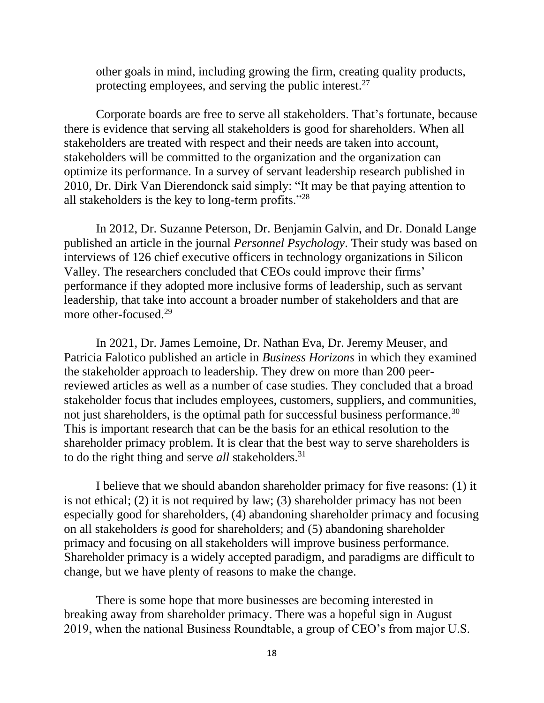other goals in mind, including growing the firm, creating quality products, protecting employees, and serving the public interest.<sup>27</sup>

Corporate boards are free to serve all stakeholders. That's fortunate, because there is evidence that serving all stakeholders is good for shareholders. When all stakeholders are treated with respect and their needs are taken into account, stakeholders will be committed to the organization and the organization can optimize its performance. In a survey of servant leadership research published in 2010, Dr. Dirk Van Dierendonck said simply: "It may be that paying attention to all stakeholders is the key to long-term profits."<sup>28</sup>

In 2012, Dr. Suzanne Peterson, Dr. Benjamin Galvin, and Dr. Donald Lange published an article in the journal *Personnel Psychology*. Their study was based on interviews of 126 chief executive officers in technology organizations in Silicon Valley. The researchers concluded that CEOs could improve their firms' performance if they adopted more inclusive forms of leadership, such as servant leadership, that take into account a broader number of stakeholders and that are more other-focused.<sup>29</sup>

In 2021, Dr. James Lemoine, Dr. Nathan Eva, Dr. Jeremy Meuser, and Patricia Falotico published an article in *Business Horizons* in which they examined the stakeholder approach to leadership. They drew on more than 200 peerreviewed articles as well as a number of case studies. They concluded that a broad stakeholder focus that includes employees, customers, suppliers, and communities, not just shareholders, is the optimal path for successful business performance.<sup>30</sup> This is important research that can be the basis for an ethical resolution to the shareholder primacy problem. It is clear that the best way to serve shareholders is to do the right thing and serve *all* stakeholders.<sup>31</sup>

I believe that we should abandon shareholder primacy for five reasons: (1) it is not ethical; (2) it is not required by law; (3) shareholder primacy has not been especially good for shareholders, (4) abandoning shareholder primacy and focusing on all stakeholders *is* good for shareholders; and (5) abandoning shareholder primacy and focusing on all stakeholders will improve business performance. Shareholder primacy is a widely accepted paradigm, and paradigms are difficult to change, but we have plenty of reasons to make the change.

There is some hope that more businesses are becoming interested in breaking away from shareholder primacy. There was a hopeful sign in August 2019, when the national Business Roundtable, a group of CEO's from major U.S.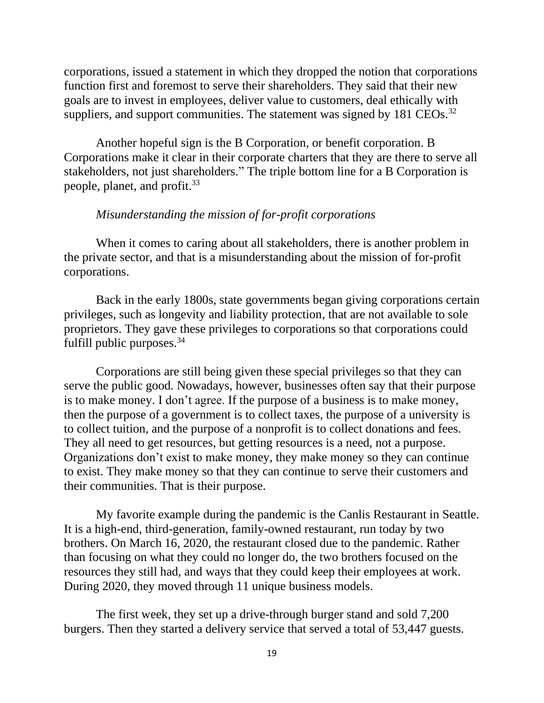corporations, issued a statement in which they dropped the notion that corporations function first and foremost to serve their shareholders. They said that their new goals are to invest in employees, deliver value to customers, deal ethically with suppliers, and support communities. The statement was signed by  $181 \text{ CEOs}.$ <sup>32</sup>

Another hopeful sign is the B Corporation, or benefit corporation. B Corporations make it clear in their corporate charters that they are there to serve all stakeholders, not just shareholders." The triple bottom line for a B Corporation is people, planet, and profit.<sup>33</sup>

#### *Misunderstanding the mission of for-profit corporations*

When it comes to caring about all stakeholders, there is another problem in the private sector, and that is a misunderstanding about the mission of for-profit corporations.

Back in the early 1800s, state governments began giving corporations certain privileges, such as longevity and liability protection, that are not available to sole proprietors. They gave these privileges to corporations so that corporations could fulfill public purposes.<sup>34</sup>

Corporations are still being given these special privileges so that they can serve the public good. Nowadays, however, businesses often say that their purpose is to make money. I don't agree. If the purpose of a business is to make money, then the purpose of a government is to collect taxes, the purpose of a university is to collect tuition, and the purpose of a nonprofit is to collect donations and fees. They all need to get resources, but getting resources is a need, not a purpose. Organizations don't exist to make money, they make money so they can continue to exist. They make money so that they can continue to serve their customers and their communities. That is their purpose.

My favorite example during the pandemic is the Canlis Restaurant in Seattle. It is a high-end, third-generation, family-owned restaurant, run today by two brothers. On March 16, 2020, the restaurant closed due to the pandemic. Rather than focusing on what they could no longer do, the two brothers focused on the resources they still had, and ways that they could keep their employees at work. During 2020, they moved through 11 unique business models.

The first week, they set up a drive-through burger stand and sold 7,200 burgers. Then they started a delivery service that served a total of 53,447 guests.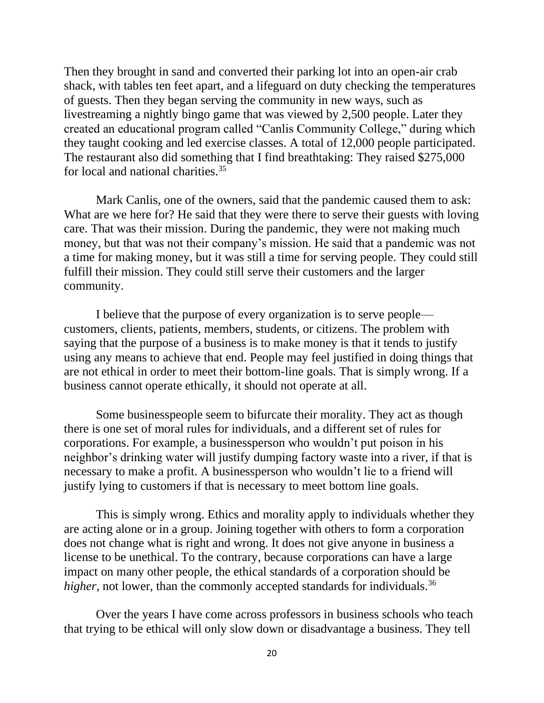Then they brought in sand and converted their parking lot into an open-air crab shack, with tables ten feet apart, and a lifeguard on duty checking the temperatures of guests. Then they began serving the community in new ways, such as livestreaming a nightly bingo game that was viewed by 2,500 people. Later they created an educational program called "Canlis Community College," during which they taught cooking and led exercise classes. A total of 12,000 people participated. The restaurant also did something that I find breathtaking: They raised \$275,000 for local and national charities.<sup>35</sup>

Mark Canlis, one of the owners, said that the pandemic caused them to ask: What are we here for? He said that they were there to serve their guests with loving care. That was their mission. During the pandemic, they were not making much money, but that was not their company's mission. He said that a pandemic was not a time for making money, but it was still a time for serving people. They could still fulfill their mission. They could still serve their customers and the larger community.

I believe that the purpose of every organization is to serve people customers, clients, patients, members, students, or citizens. The problem with saying that the purpose of a business is to make money is that it tends to justify using any means to achieve that end. People may feel justified in doing things that are not ethical in order to meet their bottom-line goals. That is simply wrong. If a business cannot operate ethically, it should not operate at all.

Some businesspeople seem to bifurcate their morality. They act as though there is one set of moral rules for individuals, and a different set of rules for corporations. For example, a businessperson who wouldn't put poison in his neighbor's drinking water will justify dumping factory waste into a river, if that is necessary to make a profit. A businessperson who wouldn't lie to a friend will justify lying to customers if that is necessary to meet bottom line goals.

This is simply wrong. Ethics and morality apply to individuals whether they are acting alone or in a group. Joining together with others to form a corporation does not change what is right and wrong. It does not give anyone in business a license to be unethical. To the contrary, because corporations can have a large impact on many other people, the ethical standards of a corporation should be *higher*, not lower, than the commonly accepted standards for individuals.<sup>36</sup>

Over the years I have come across professors in business schools who teach that trying to be ethical will only slow down or disadvantage a business. They tell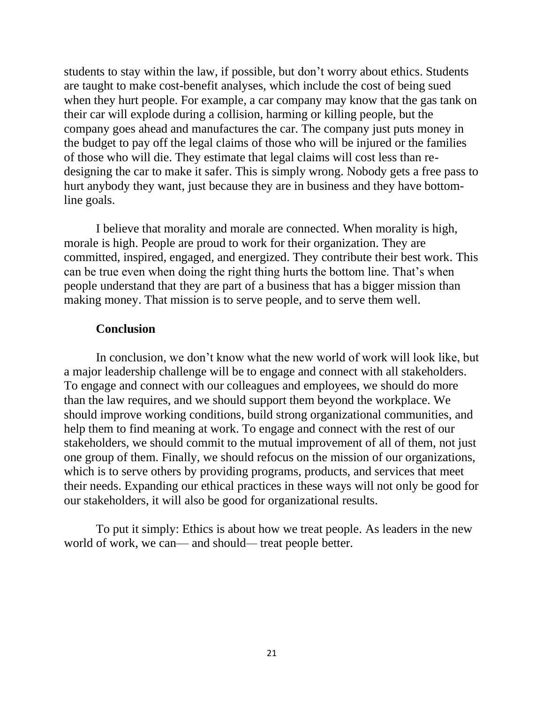students to stay within the law, if possible, but don't worry about ethics. Students are taught to make cost-benefit analyses, which include the cost of being sued when they hurt people. For example, a car company may know that the gas tank on their car will explode during a collision, harming or killing people, but the company goes ahead and manufactures the car. The company just puts money in the budget to pay off the legal claims of those who will be injured or the families of those who will die. They estimate that legal claims will cost less than redesigning the car to make it safer. This is simply wrong. Nobody gets a free pass to hurt anybody they want, just because they are in business and they have bottomline goals.

I believe that morality and morale are connected. When morality is high, morale is high. People are proud to work for their organization. They are committed, inspired, engaged, and energized. They contribute their best work. This can be true even when doing the right thing hurts the bottom line. That's when people understand that they are part of a business that has a bigger mission than making money. That mission is to serve people, and to serve them well.

#### **Conclusion**

In conclusion, we don't know what the new world of work will look like, but a major leadership challenge will be to engage and connect with all stakeholders. To engage and connect with our colleagues and employees, we should do more than the law requires, and we should support them beyond the workplace. We should improve working conditions, build strong organizational communities, and help them to find meaning at work. To engage and connect with the rest of our stakeholders, we should commit to the mutual improvement of all of them, not just one group of them. Finally, we should refocus on the mission of our organizations, which is to serve others by providing programs, products, and services that meet their needs. Expanding our ethical practices in these ways will not only be good for our stakeholders, it will also be good for organizational results.

To put it simply: Ethics is about how we treat people. As leaders in the new world of work, we can— and should*—* treat people better.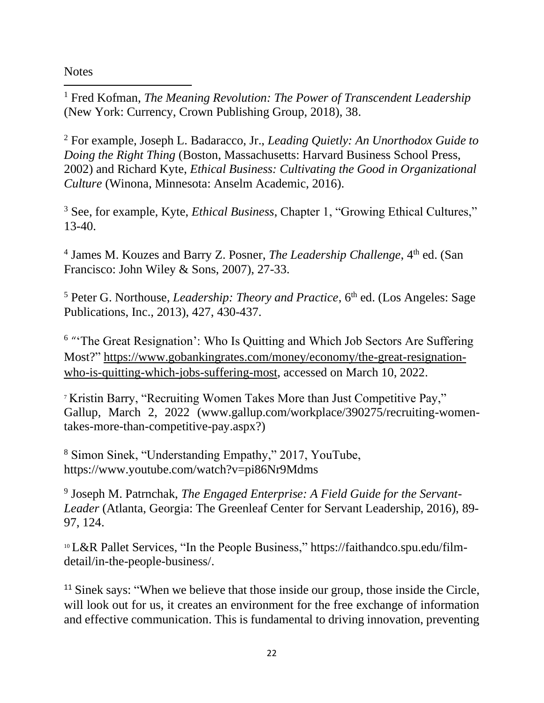**Notes** 

<sup>1</sup> Fred Kofman, *The Meaning Revolution: The Power of Transcendent Leadership* (New York: Currency, Crown Publishing Group, 2018), 38.

<sup>2</sup> For example, Joseph L. Badaracco, Jr., *Leading Quietly: An Unorthodox Guide to Doing the Right Thing* (Boston, Massachusetts: Harvard Business School Press, 2002) and Richard Kyte, *Ethical Business: Cultivating the Good in Organizational Culture* (Winona, Minnesota: Anselm Academic, 2016).

<sup>3</sup> See, for example, Kyte, *Ethical Business*, Chapter 1, "Growing Ethical Cultures," 13-40.

<sup>4</sup> James M. Kouzes and Barry Z. Posner, *The Leadership Challenge*, 4<sup>th</sup> ed. (San Francisco: John Wiley & Sons, 2007), 27-33.

<sup>5</sup> Peter G. Northouse, *Leadership: Theory and Practice*, 6<sup>th</sup> ed. (Los Angeles: Sage Publications, Inc., 2013), 427, 430-437.

<sup>6</sup> "The Great Resignation': Who Is Quitting and Which Job Sectors Are Suffering Most?" [https://www.gobankingrates.com/money/economy/the-great-resignation](https://www.gobankingrates.com/money/economy/the-great-resignation-who-is-quitting-which-jobs-suffering-most)[who-is-quitting-which-jobs-suffering-most,](https://www.gobankingrates.com/money/economy/the-great-resignation-who-is-quitting-which-jobs-suffering-most) accessed on March 10, 2022.

<sup>7</sup> Kristin Barry, "Recruiting Women Takes More than Just Competitive Pay," Gallup, March 2, 2022 [\(www.gallup.com/workplace/390275/recruiting-women](http://www.gallup.com/workplace/390275/recruiting-women-takes-more-than-competitive-pay.aspx)[takes-more-than-competitive-pay.aspx?](http://www.gallup.com/workplace/390275/recruiting-women-takes-more-than-competitive-pay.aspx))

<sup>8</sup> Simon Sinek, "Understanding Empathy," 2017, YouTube, https://www.youtube.com/watch?v=pi86Nr9Mdms

9 Joseph M. Patrnchak, *The Engaged Enterprise: A Field Guide for the Servant-Leader* (Atlanta, Georgia: The Greenleaf Center for Servant Leadership, 2016), 89- 97, 124.

<sup>10</sup> L&R Pallet Services, "In the People Business," https://faithandco.spu.edu/filmdetail/in-the-people-business/.

<sup>11</sup> Sinek says: "When we believe that those inside our group, those inside the Circle, will look out for us, it creates an environment for the free exchange of information and effective communication. This is fundamental to driving innovation, preventing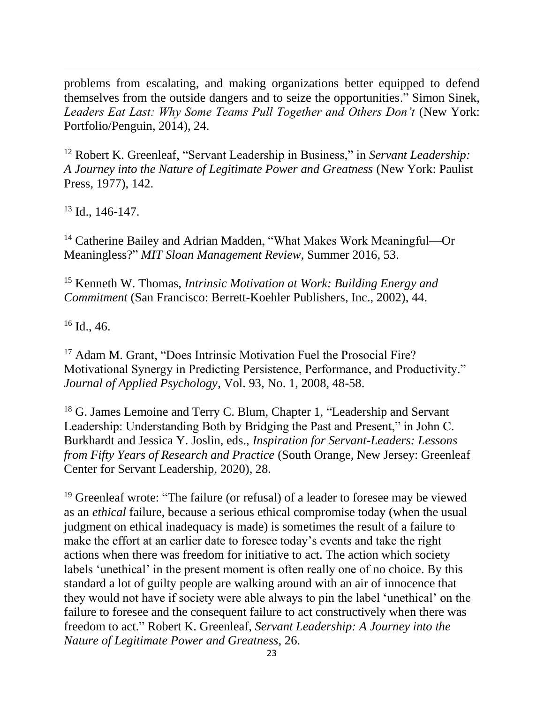problems from escalating, and making organizations better equipped to defend themselves from the outside dangers and to seize the opportunities." Simon Sinek, Leaders Eat Last: Why Some Teams Pull Together and Others Don't (New York: Portfolio/Penguin, 2014), 24.

<sup>12</sup> Robert K. Greenleaf, "Servant Leadership in Business," in *Servant Leadership: A Journey into the Nature of Legitimate Power and Greatness* (New York: Paulist Press, 1977), 142.

 $13$  Id., 146-147.

<sup>14</sup> Catherine Bailey and Adrian Madden, "What Makes Work Meaningful—Or Meaningless?" *MIT Sloan Management Review*, Summer 2016, 53.

<sup>15</sup> Kenneth W. Thomas, *Intrinsic Motivation at Work: Building Energy and Commitment* (San Francisco: Berrett-Koehler Publishers, Inc., 2002), 44.

 $16$  Id., 46.

<sup>17</sup> Adam M. Grant, "Does Intrinsic Motivation Fuel the Prosocial Fire? Motivational Synergy in Predicting Persistence, Performance, and Productivity." *Journal of Applied Psychology*, Vol. 93, No. 1, 2008, 48-58.

<sup>18</sup> G. James Lemoine and Terry C. Blum, Chapter 1, "Leadership and Servant" Leadership: Understanding Both by Bridging the Past and Present," in John C. Burkhardt and Jessica Y. Joslin, eds., *Inspiration for Servant-Leaders: Lessons from Fifty Years of Research and Practice* (South Orange, New Jersey: Greenleaf Center for Servant Leadership, 2020), 28.

<sup>19</sup> Greenleaf wrote: "The failure (or refusal) of a leader to foresee may be viewed as an *ethical* failure, because a serious ethical compromise today (when the usual judgment on ethical inadequacy is made) is sometimes the result of a failure to make the effort at an earlier date to foresee today's events and take the right actions when there was freedom for initiative to act. The action which society labels 'unethical' in the present moment is often really one of no choice. By this standard a lot of guilty people are walking around with an air of innocence that they would not have if society were able always to pin the label 'unethical' on the failure to foresee and the consequent failure to act constructively when there was freedom to act." Robert K. Greenleaf, *Servant Leadership: A Journey into the Nature of Legitimate Power and Greatness*, 26.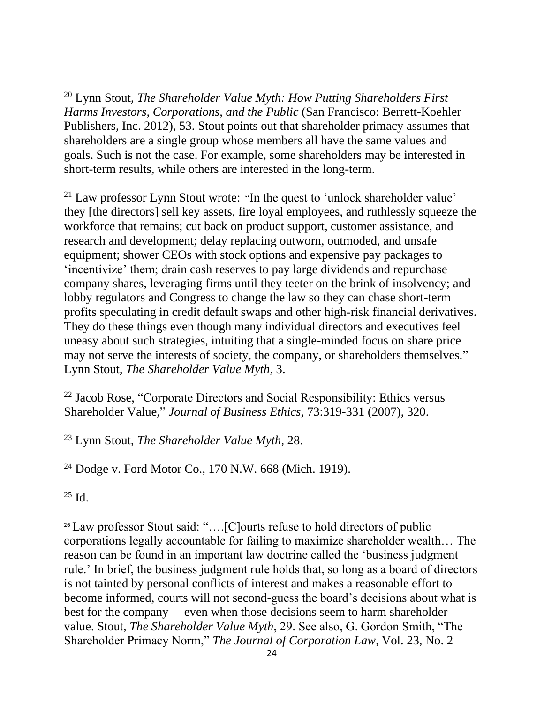<sup>20</sup> Lynn Stout, *The Shareholder Value Myth: How Putting Shareholders First Harms Investors, Corporations, and the Public* (San Francisco: Berrett-Koehler Publishers, Inc. 2012), 53. Stout points out that shareholder primacy assumes that shareholders are a single group whose members all have the same values and goals. Such is not the case. For example, some shareholders may be interested in short-term results, while others are interested in the long-term.

<sup>21</sup> Law professor Lynn Stout wrote: "In the quest to 'unlock shareholder value' they [the directors] sell key assets, fire loyal employees, and ruthlessly squeeze the workforce that remains; cut back on product support, customer assistance, and research and development; delay replacing outworn, outmoded, and unsafe equipment; shower CEOs with stock options and expensive pay packages to 'incentivize' them; drain cash reserves to pay large dividends and repurchase company shares, leveraging firms until they teeter on the brink of insolvency; and lobby regulators and Congress to change the law so they can chase short-term profits speculating in credit default swaps and other high-risk financial derivatives. They do these things even though many individual directors and executives feel uneasy about such strategies, intuiting that a single-minded focus on share price may not serve the interests of society, the company, or shareholders themselves." Lynn Stout, *The Shareholder Value Myth,* 3.

 $22$  Jacob Rose, "Corporate Directors and Social Responsibility: Ethics versus Shareholder Value," *Journal of Business Ethics*, 73:319-331 (2007), 320.

<sup>23</sup> Lynn Stout, *The Shareholder Value Myth,* 28.

<sup>24</sup> Dodge v. Ford Motor Co., 170 N.W. 668 (Mich. 1919).

 $^{25}$  Id.

<sup>26</sup> Law professor Stout said: "....[C]ourts refuse to hold directors of public corporations legally accountable for failing to maximize shareholder wealth… The reason can be found in an important law doctrine called the 'business judgment rule.' In brief, the business judgment rule holds that, so long as a board of directors is not tainted by personal conflicts of interest and makes a reasonable effort to become informed, courts will not second-guess the board's decisions about what is best for the company— even when those decisions seem to harm shareholder value. Stout, *The Shareholder Value Myth*, 29. See also, G. Gordon Smith, "The Shareholder Primacy Norm," *The Journal of Corporation Law*, Vol. 23, No. 2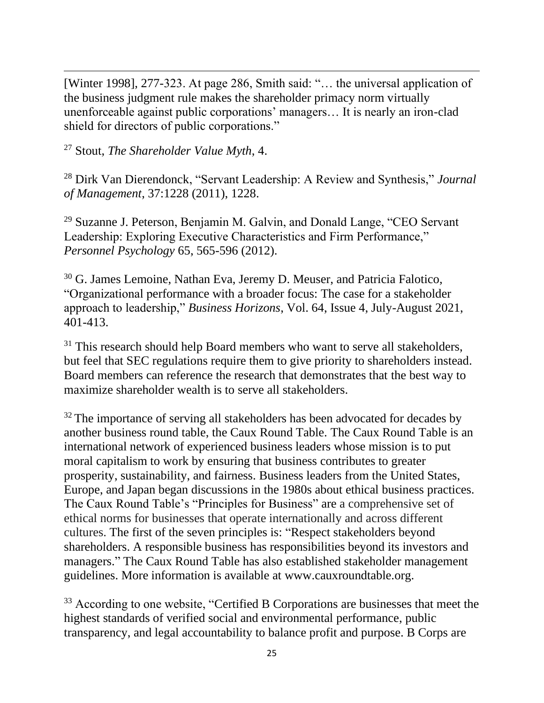[Winter 1998], 277-323. At page 286, Smith said: "… the universal application of the business judgment rule makes the shareholder primacy norm virtually unenforceable against public corporations' managers… It is nearly an iron-clad shield for directors of public corporations."

<sup>27</sup> Stout, *The Shareholder Value Myth*, 4.

<sup>28</sup> Dirk Van Dierendonck, "Servant Leadership: A Review and Synthesis," *Journal of Management*, 37:1228 (2011), 1228.

<sup>29</sup> Suzanne J. Peterson, Benjamin M. Galvin, and Donald Lange, "CEO Servant Leadership: Exploring Executive Characteristics and Firm Performance," *Personnel Psychology* 65, 565-596 (2012).

<sup>30</sup> G. James Lemoine, Nathan Eva, Jeremy D. Meuser, and Patricia Falotico, "Organizational performance with a broader focus: The case for a stakeholder approach to leadership," *Business Horizons*, Vol. 64, Issue 4, July-August 2021, 401-413.

 $31$  This research should help Board members who want to serve all stakeholders, but feel that SEC regulations require them to give priority to shareholders instead. Board members can reference the research that demonstrates that the best way to maximize shareholder wealth is to serve all stakeholders.

 $32$  The importance of serving all stakeholders has been advocated for decades by another business round table, the Caux Round Table. The Caux Round Table is an international network of experienced business leaders whose mission is to put moral capitalism to work by ensuring that business contributes to greater prosperity, sustainability, and fairness. Business leaders from the United States, Europe, and Japan began discussions in the 1980s about ethical business practices. The Caux Round Table's "Principles for Business" are a comprehensive set of ethical norms for businesses that operate internationally and across different cultures. The first of the seven principles is: "Respect stakeholders beyond shareholders. A responsible business has responsibilities beyond its investors and managers." The Caux Round Table has also established stakeholder management guidelines. More information is available at [www.cauxroundtable.org.](http://www.cauxroundtable.org/)

<sup>33</sup> According to one website, "Certified B Corporations are businesses that meet the highest standards of verified social and environmental performance, public transparency, and legal accountability to balance profit and purpose. B Corps are